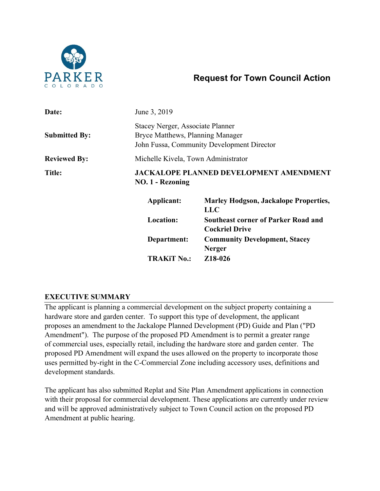

# **Request for Town Council Action**

| Date:                | June 3, 2019                                                                                                       |                                                                     |
|----------------------|--------------------------------------------------------------------------------------------------------------------|---------------------------------------------------------------------|
| <b>Submitted By:</b> | Stacey Nerger, Associate Planner<br>Bryce Matthews, Planning Manager<br>John Fussa, Community Development Director |                                                                     |
| <b>Reviewed By:</b>  | Michelle Kivela, Town Administrator                                                                                |                                                                     |
| Title:               | <b>JACKALOPE PLANNED DEVELOPMENT AMENDMENT</b><br><b>NO. 1 - Rezoning</b>                                          |                                                                     |
|                      | Applicant:                                                                                                         | <b>Marley Hodgson, Jackalope Properties,</b><br><b>LLC</b>          |
|                      | <b>Location:</b>                                                                                                   | <b>Southeast corner of Parker Road and</b><br><b>Cockriel Drive</b> |
|                      | Department:                                                                                                        | <b>Community Development, Stacey</b><br><b>Nerger</b>               |
|                      | <b>TRAKiT No.:</b>                                                                                                 | Z18-026                                                             |

# **EXECUTIVE SUMMARY**

The applicant is planning a commercial development on the subject property containing a hardware store and garden center. To support this type of development, the applicant proposes an amendment to the Jackalope Planned Development (PD) Guide and Plan ("PD Amendment"). The purpose of the proposed PD Amendment is to permit a greater range of commercial uses, especially retail, including the hardware store and garden center. The proposed PD Amendment will expand the uses allowed on the property to incorporate those uses permitted by-right in the C-Commercial Zone including accessory uses, definitions and development standards.

The applicant has also submitted Replat and Site Plan Amendment applications in connection with their proposal for commercial development. These applications are currently under review and will be approved administratively subject to Town Council action on the proposed PD Amendment at public hearing.